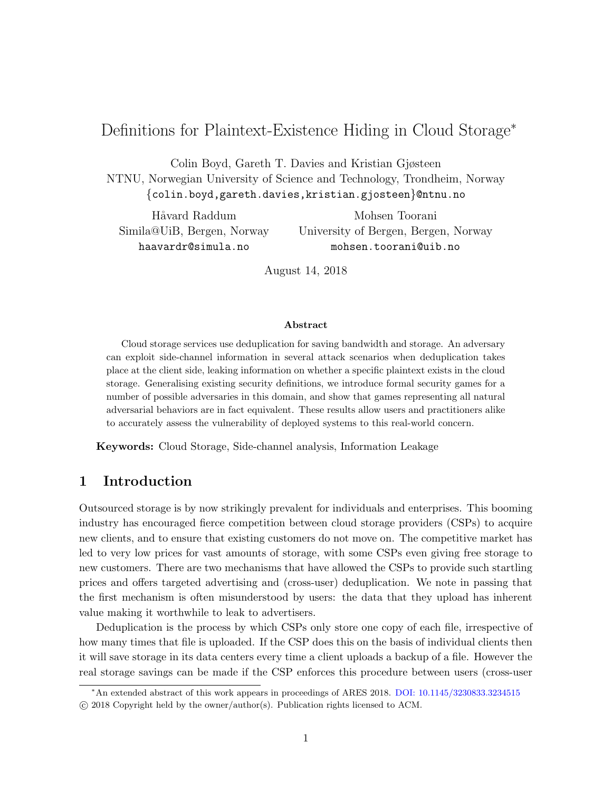# Definitions for Plaintext-Existence Hiding in Cloud Storage<sup>∗</sup>

Colin Boyd, Gareth T. Davies and Kristian Gjøsteen NTNU, Norwegian University of Science and Technology, Trondheim, Norway {colin.boyd,gareth.davies,kristian.gjosteen}@ntnu.no

Håvard Raddum Simila@UiB, Bergen, Norway haavardr@simula.no

Mohsen Toorani University of Bergen, Bergen, Norway mohsen.toorani@uib.no

August 14, 2018

#### Abstract

Cloud storage services use deduplication for saving bandwidth and storage. An adversary can exploit side-channel information in several attack scenarios when deduplication takes place at the client side, leaking information on whether a specific plaintext exists in the cloud storage. Generalising existing security definitions, we introduce formal security games for a number of possible adversaries in this domain, and show that games representing all natural adversarial behaviors are in fact equivalent. These results allow users and practitioners alike to accurately assess the vulnerability of deployed systems to this real-world concern.

Keywords: Cloud Storage, Side-channel analysis, Information Leakage

### 1 Introduction

Outsourced storage is by now strikingly prevalent for individuals and enterprises. This booming industry has encouraged fierce competition between cloud storage providers (CSPs) to acquire new clients, and to ensure that existing customers do not move on. The competitive market has led to very low prices for vast amounts of storage, with some CSPs even giving free storage to new customers. There are two mechanisms that have allowed the CSPs to provide such startling prices and offers targeted advertising and (cross-user) deduplication. We note in passing that the first mechanism is often misunderstood by users: the data that they upload has inherent value making it worthwhile to leak to advertisers.

Deduplication is the process by which CSPs only store one copy of each file, irrespective of how many times that file is uploaded. If the CSP does this on the basis of individual clients then it will save storage in its data centers every time a client uploads a backup of a file. However the real storage savings can be made if the CSP enforces this procedure between users (cross-user

<sup>∗</sup>An extended abstract of this work appears in proceedings of ARES 2018. [DOI: 10.1145/3230833.3234515](https://doi.org/10.1145/3230833.3234515) c 2018 Copyright held by the owner/author(s). Publication rights licensed to ACM.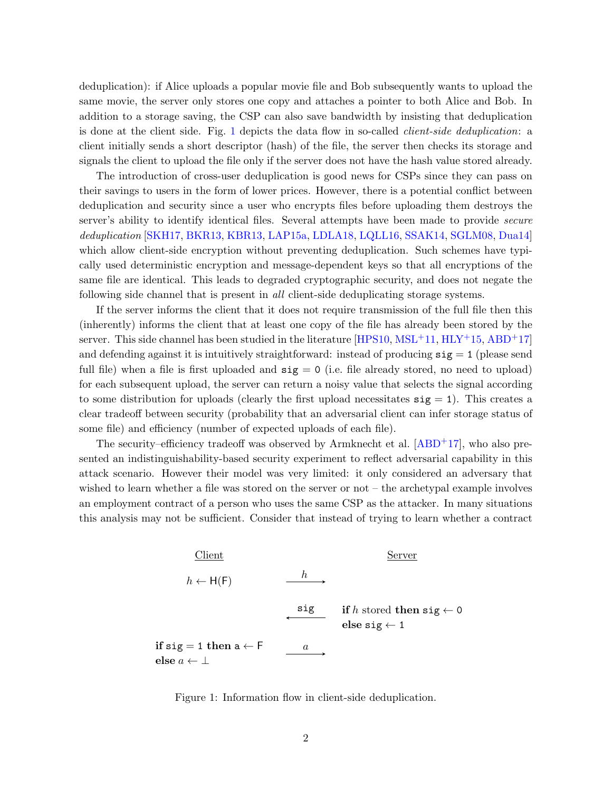<span id="page-1-1"></span>deduplication): if Alice uploads a popular movie file and Bob subsequently wants to upload the same movie, the server only stores one copy and attaches a pointer to both Alice and Bob. In addition to a storage saving, the CSP can also save bandwidth by insisting that deduplication is done at the client side. Fig. [1](#page-1-0) depicts the data flow in so-called client-side deduplication: a client initially sends a short descriptor (hash) of the file, the server then checks its storage and signals the client to upload the file only if the server does not have the hash value stored already.

The introduction of cross-user deduplication is good news for CSPs since they can pass on their savings to users in the form of lower prices. However, there is a potential conflict between deduplication and security since a user who encrypts files before uploading them destroys the server's ability to identify identical files. Several attempts have been made to provide secure deduplication [\[SKH17,](#page-14-0) [BKR13,](#page-12-0) [KBR13,](#page-13-0) [LAP15a,](#page-13-1) [LDLA18,](#page-13-2) [LQLL16,](#page-13-3) [SSAK14,](#page-14-1) [SGLM08,](#page-14-2) [Dua14\]](#page-13-4) which allow client-side encryption without preventing deduplication. Such schemes have typically used deterministic encryption and message-dependent keys so that all encryptions of the same file are identical. This leads to degraded cryptographic security, and does not negate the following side channel that is present in all client-side deduplicating storage systems.

If the server informs the client that it does not require transmission of the full file then this (inherently) informs the client that at least one copy of the file has already been stored by the server. This side channel has been studied in the literature  $[HPS10, MSL<sup>+11</sup>, HLY<sup>+15</sup>, ABD<sup>+17</sup>]$  $[HPS10, MSL<sup>+11</sup>, HLY<sup>+15</sup>, ABD<sup>+17</sup>]$  $[HPS10, MSL<sup>+11</sup>, HLY<sup>+15</sup>, ABD<sup>+17</sup>]$  $[HPS10, MSL<sup>+11</sup>, HLY<sup>+15</sup>, ABD<sup>+17</sup>]$  $[HPS10, MSL<sup>+11</sup>, HLY<sup>+15</sup>, ABD<sup>+17</sup>]$  $[HPS10, MSL<sup>+11</sup>, HLY<sup>+15</sup>, ABD<sup>+17</sup>]$  $[HPS10, MSL<sup>+11</sup>, HLY<sup>+15</sup>, ABD<sup>+17</sup>]$  $[HPS10, MSL<sup>+11</sup>, HLY<sup>+15</sup>, ABD<sup>+17</sup>]$ and defending against it is intuitively straightforward: instead of producing  $sig = 1$  (please send full file) when a file is first uploaded and  $sig = 0$  (i.e. file already stored, no need to upload) for each subsequent upload, the server can return a noisy value that selects the signal according to some distribution for uploads (clearly the first upload necessitates  $sig = 1$ ). This creates a clear tradeoff between security (probability that an adversarial client can infer storage status of some file) and efficiency (number of expected uploads of each file).

The security–efficiency tradeoff was observed by Armknecht et al.  $[ABD+17]$  $[ABD+17]$ , who also presented an indistinguishability-based security experiment to reflect adversarial capability in this attack scenario. However their model was very limited: it only considered an adversary that wished to learn whether a file was stored on the server or not – the archetypal example involves an employment contract of a person who uses the same CSP as the attacker. In many situations this analysis may not be sufficient. Consider that instead of trying to learn whether a contract



<span id="page-1-0"></span>Figure 1: Information flow in client-side deduplication.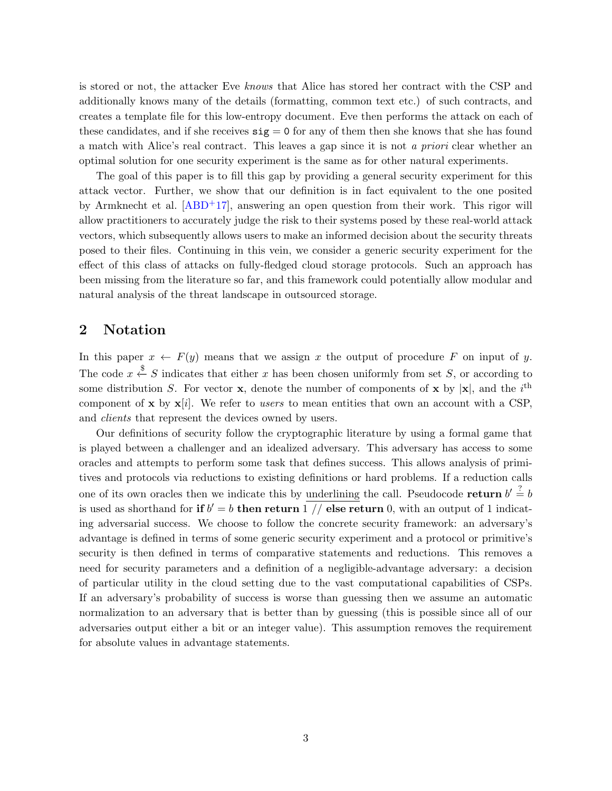<span id="page-2-0"></span>is stored or not, the attacker Eve knows that Alice has stored her contract with the CSP and additionally knows many of the details (formatting, common text etc.) of such contracts, and creates a template file for this low-entropy document. Eve then performs the attack on each of these candidates, and if she receives  $sig = 0$  for any of them then she knows that she has found a match with Alice's real contract. This leaves a gap since it is not a priori clear whether an optimal solution for one security experiment is the same as for other natural experiments.

The goal of this paper is to fill this gap by providing a general security experiment for this attack vector. Further, we show that our definition is in fact equivalent to the one posited by Armknecht et al.  $[ABD+17]$  $[ABD+17]$ , answering an open question from their work. This rigor will allow practitioners to accurately judge the risk to their systems posed by these real-world attack vectors, which subsequently allows users to make an informed decision about the security threats posed to their files. Continuing in this vein, we consider a generic security experiment for the effect of this class of attacks on fully-fledged cloud storage protocols. Such an approach has been missing from the literature so far, and this framework could potentially allow modular and natural analysis of the threat landscape in outsourced storage.

### 2 Notation

In this paper  $x \leftarrow F(y)$  means that we assign x the output of procedure F on input of y. The code  $x \stackrel{\$}{\leftarrow} S$  indicates that either x has been chosen uniformly from set S, or according to some distribution S. For vector **x**, denote the number of components of **x** by  $|\mathbf{x}|$ , and the i<sup>th</sup> component of x by  $x[i]$ . We refer to users to mean entities that own an account with a CSP, and clients that represent the devices owned by users.

Our definitions of security follow the cryptographic literature by using a formal game that is played between a challenger and an idealized adversary. This adversary has access to some oracles and attempts to perform some task that defines success. This allows analysis of primitives and protocols via reductions to existing definitions or hard problems. If a reduction calls one of its own oracles then we indicate this by underlining the call. Pseudocode return  $b' \stackrel{?}{=} b$ is used as shorthand for if  $b' = b$  then return 1 // else return 0, with an output of 1 indicating adversarial success. We choose to follow the concrete security framework: an adversary's advantage is defined in terms of some generic security experiment and a protocol or primitive's security is then defined in terms of comparative statements and reductions. This removes a need for security parameters and a definition of a negligible-advantage adversary: a decision of particular utility in the cloud setting due to the vast computational capabilities of CSPs. If an adversary's probability of success is worse than guessing then we assume an automatic normalization to an adversary that is better than by guessing (this is possible since all of our adversaries output either a bit or an integer value). This assumption removes the requirement for absolute values in advantage statements.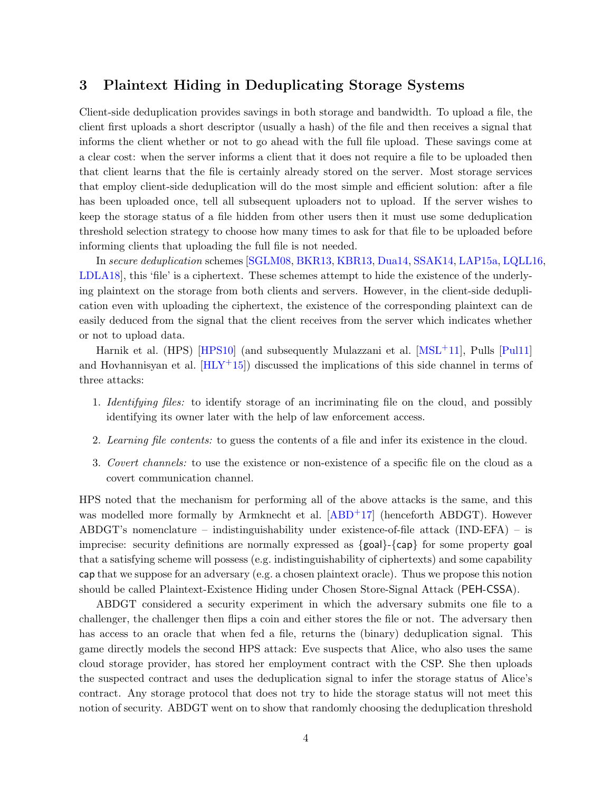## <span id="page-3-0"></span>3 Plaintext Hiding in Deduplicating Storage Systems

Client-side deduplication provides savings in both storage and bandwidth. To upload a file, the client first uploads a short descriptor (usually a hash) of the file and then receives a signal that informs the client whether or not to go ahead with the full file upload. These savings come at a clear cost: when the server informs a client that it does not require a file to be uploaded then that client learns that the file is certainly already stored on the server. Most storage services that employ client-side deduplication will do the most simple and efficient solution: after a file has been uploaded once, tell all subsequent uploaders not to upload. If the server wishes to keep the storage status of a file hidden from other users then it must use some deduplication threshold selection strategy to choose how many times to ask for that file to be uploaded before informing clients that uploading the full file is not needed.

In secure deduplication schemes [\[SGLM08,](#page-14-2) [BKR13,](#page-12-0) [KBR13,](#page-13-0) [Dua14,](#page-13-4) [SSAK14,](#page-14-1) [LAP15a,](#page-13-1) [LQLL16,](#page-13-3) [LDLA18\]](#page-13-2), this 'file' is a ciphertext. These schemes attempt to hide the existence of the underlying plaintext on the storage from both clients and servers. However, in the client-side deduplication even with uploading the ciphertext, the existence of the corresponding plaintext can de easily deduced from the signal that the client receives from the server which indicates whether or not to upload data.

Harnik et al. (HPS) [\[HPS10\]](#page-13-5) (and subsequently Mulazzani et al. [\[MSL](#page-13-6)+11], Pulls [\[Pul11\]](#page-14-3) and Hovhannisyan et al.  $[HLY^+15]$  $[HLY^+15]$  discussed the implications of this side channel in terms of three attacks:

- 1. Identifying files: to identify storage of an incriminating file on the cloud, and possibly identifying its owner later with the help of law enforcement access.
- 2. Learning file contents: to guess the contents of a file and infer its existence in the cloud.
- 3. Covert channels: to use the existence or non-existence of a specific file on the cloud as a covert communication channel.

HPS noted that the mechanism for performing all of the above attacks is the same, and this was modelled more formally by Armknecht et al. [\[ABD](#page-12-1)<sup>+17]</sup> (henceforth ABDGT). However ABDGT's nomenclature – indistinguishability under existence-of-file attack (IND-EFA) – is imprecise: security definitions are normally expressed as  $\{goal\}$ - $\{cap\}$  for some property goal that a satisfying scheme will possess (e.g. indistinguishability of ciphertexts) and some capability cap that we suppose for an adversary (e.g. a chosen plaintext oracle). Thus we propose this notion should be called Plaintext-Existence Hiding under Chosen Store-Signal Attack (PEH-CSSA).

ABDGT considered a security experiment in which the adversary submits one file to a challenger, the challenger then flips a coin and either stores the file or not. The adversary then has access to an oracle that when fed a file, returns the (binary) deduplication signal. This game directly models the second HPS attack: Eve suspects that Alice, who also uses the same cloud storage provider, has stored her employment contract with the CSP. She then uploads the suspected contract and uses the deduplication signal to infer the storage status of Alice's contract. Any storage protocol that does not try to hide the storage status will not meet this notion of security. ABDGT went on to show that randomly choosing the deduplication threshold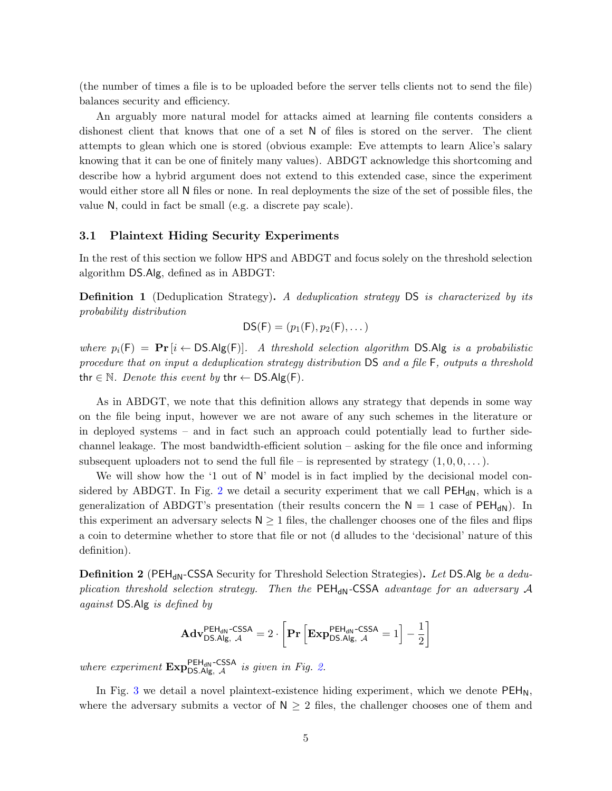(the number of times a file is to be uploaded before the server tells clients not to send the file) balances security and efficiency.

An arguably more natural model for attacks aimed at learning file contents considers a dishonest client that knows that one of a set N of files is stored on the server. The client attempts to glean which one is stored (obvious example: Eve attempts to learn Alice's salary knowing that it can be one of finitely many values). ABDGT acknowledge this shortcoming and describe how a hybrid argument does not extend to this extended case, since the experiment would either store all N files or none. In real deployments the size of the set of possible files, the value N, could in fact be small (e.g. a discrete pay scale).

#### <span id="page-4-0"></span>3.1 Plaintext Hiding Security Experiments

In the rest of this section we follow HPS and ABDGT and focus solely on the threshold selection algorithm DS.Alg, defined as in ABDGT:

**Definition 1** (Deduplication Strategy). A deduplication strategy DS is characterized by its probability distribution

$$
DS(F) = (p_1(F), p_2(F), \dots)
$$

where  $p_i(\mathsf{F}) = \mathbf{Pr}\left[i \leftarrow \mathsf{DS}.\mathsf{Alg}(\mathsf{F})\right]$ . A threshold selection algorithm  $\mathsf{DS}.\mathsf{Alg}$  is a probabilistic procedure that on input a deduplication strategy distribution DS and a file F, outputs a threshold thr ∈ N. Denote this event by thr  $\leftarrow$  DS.Alg(F).

As in ABDGT, we note that this definition allows any strategy that depends in some way on the file being input, however we are not aware of any such schemes in the literature or in deployed systems – and in fact such an approach could potentially lead to further sidechannel leakage. The most bandwidth-efficient solution – asking for the file once and informing subsequent uploaders not to send the full file – is represented by strategy  $(1, 0, 0, \ldots)$ .

We will show how the '1 out of N' model is in fact implied by the decisional model con-sidered by ABDGT. In Fig. [2](#page-5-0) we detail a security experiment that we call  $PEH_{dN}$ , which is a generalization of ABDGT's presentation (their results concern the  $N = 1$  case of PEH<sub>dN</sub>). In this experiment an adversary selects  $N \geq 1$  files, the challenger chooses one of the files and flips a coin to determine whether to store that file or not (d alludes to the 'decisional' nature of this definition).

**Definition 2** (PEH<sub>dN</sub>-CSSA Security for Threshold Selection Strategies). Let DS.Alg be a deduplication threshold selection strategy. Then the  $PEH_{dN}$ -CSSA advantage for an adversary A against DS.Alg is defined by

$$
\mathbf{Adv}_{\mathsf{DS}.\mathsf{Alg},\ \mathcal{A}}^{\mathsf{PEH}_\mathsf{dN}\text{-}\mathsf{CSSA}}=2\cdot\left[\mathbf{Pr}\left[\mathbf{Exp}_{\mathsf{DS}.\mathsf{Alg},\ \mathcal{A}}^{\mathsf{PEH}_\mathsf{dN}\text{-}\mathsf{CSSA}}=1\right]-\frac{1}{2}\right]
$$

where experiment  $\text{Exp}_{\text{DS.Alg}, \mathcal{A}}^{\text{PEH}_{dN} \text{-CSSA}}$  is given in Fig. [2.](#page-5-0)

In Fig. [3](#page-5-1) we detail a novel plaintext-existence hiding experiment, which we denote  $PEH_N$ , where the adversary submits a vector of  $N \geq 2$  files, the challenger chooses one of them and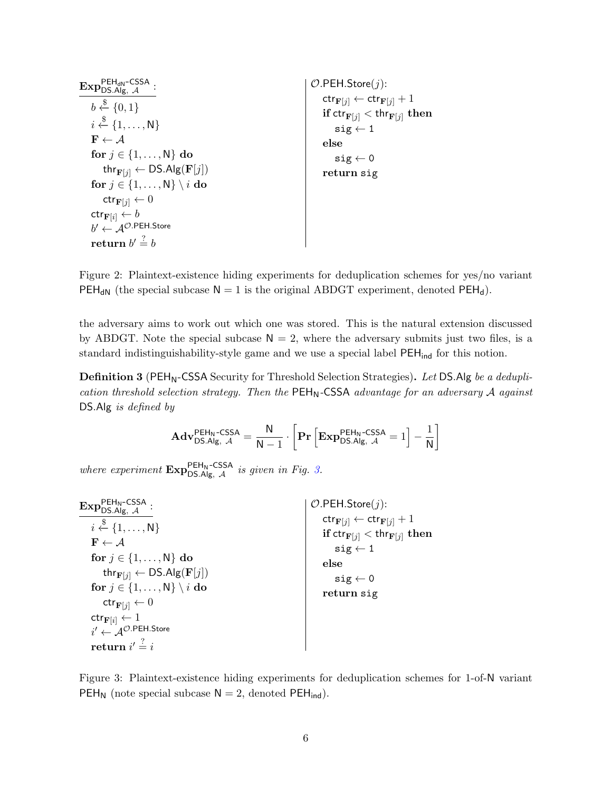| PEH <sub>dN</sub> –CSSA<br>$\mathrm{Exp}_{\mathsf{DS}.\vec{Alg},\;\mathcal{A}}$                                                                                                                                                      | $O.PEH.S$ tore $(j)$ :                                                                                                                                                                                            |
|--------------------------------------------------------------------------------------------------------------------------------------------------------------------------------------------------------------------------------------|-------------------------------------------------------------------------------------------------------------------------------------------------------------------------------------------------------------------|
| $b \stackrel{\$}{\leftarrow} \{0,1\}$<br>$i \stackrel{\$}{\leftarrow} \{1, \ldots, N\}$<br>$\mathbf{F} \leftarrow A$<br>for $j \in \{1, \ldots, N\}$ do<br>thr $_{\mathbf{F}[j]} \leftarrow \mathsf{DS}.\mathsf{Alg}(\mathbf{F}[j])$ | $\mathsf{ctr}_{\mathbf{F}[j]} \leftarrow \mathsf{ctr}_{\mathbf{F}[j]} + 1$<br>if $\text{ctr}_{\mathbf{F}[j]} < \text{thr}_{\mathbf{F}[j]}$ then<br>$sig \leftarrow 1$<br>else<br>$sig \leftarrow 0$<br>return sig |
| for $j \in \{1, , N\} \setminus i$ do                                                                                                                                                                                                |                                                                                                                                                                                                                   |
| $\mathsf{ctr}_{\mathbf{F}[j]} \leftarrow 0$                                                                                                                                                                                          |                                                                                                                                                                                                                   |
| $\mathsf{ctr}_{\mathbf{F}[i]} \leftarrow b$                                                                                                                                                                                          |                                                                                                                                                                                                                   |
| $b' \leftarrow \mathcal{A}^{\mathcal{O}.\mathsf{PEH}.\mathsf{Store}}$                                                                                                                                                                |                                                                                                                                                                                                                   |
| return $b' \stackrel{?}{=} b$                                                                                                                                                                                                        |                                                                                                                                                                                                                   |

<span id="page-5-0"></span>Figure 2: Plaintext-existence hiding experiments for deduplication schemes for yes/no variant PEH<sub>dN</sub> (the special subcase  $N = 1$  is the original ABDGT experiment, denoted PEH<sub>d</sub>).

the adversary aims to work out which one was stored. This is the natural extension discussed by ABDGT. Note the special subcase  $N = 2$ , where the adversary submits just two files, is a standard indistinguishability-style game and we use a special label  $PEH_{ind}$  for this notion.

**Definition 3** (PEH<sub>N</sub>-CSSA Security for Threshold Selection Strategies). Let DS. Alg be a deduplication threshold selection strategy. Then the  $PEH_N$ -CSSA advantage for an adversary A against DS.Alg is defined by

$$
\mathbf{Adv}_{\mathsf{DS}.\mathsf{Alg},\ \mathcal{A}}^{\mathsf{PEH}_{\mathsf{N}}\text{-CSSA}} = \frac{\mathsf{N}}{\mathsf{N}-1} \cdot \left[\mathbf{Pr}\left[\mathbf{Exp}_{\mathsf{DS}.\mathsf{Alg},\ \mathcal{A}}^{\mathsf{PEH}_{\mathsf{N}}\text{-CSSA}}=1\right] - \frac{1}{\mathsf{N}}\right]
$$

where experiment  $\text{Exp}_{\text{DS.Alg}, \mathcal{A}}^{\text{PEH}_N-\text{CSSA}}$  is given in Fig. [3.](#page-5-1)

| $\mathrm{Exp}_{\mathsf{DS}.\mathsf{Alg},\ \mathcal{A}}^{\mathsf{PEH}_\mathsf{N}\text{-}\mathsf{CSSA}}$                                                                                                                                                                                                                                                                                                                     | $O.PEH.S$ tore $(j)$ :                                                                                                                                                                                            |
|----------------------------------------------------------------------------------------------------------------------------------------------------------------------------------------------------------------------------------------------------------------------------------------------------------------------------------------------------------------------------------------------------------------------------|-------------------------------------------------------------------------------------------------------------------------------------------------------------------------------------------------------------------|
| $i \stackrel{\$}{\leftarrow} \{1, \ldots, N\}$<br>$\mathbf{F} \leftarrow \mathcal{A}$<br>for $j \in \{1, \ldots, N\}$ do<br>thr $_{\mathbf{F}[j]} \leftarrow \mathsf{DS}.\mathsf{Alg}(\mathbf{F}[j])$<br>for $j \in \{1, , N\} \setminus i$ do<br>$\mathsf{ctr}_{\mathbf{F}[j]} \leftarrow 0$<br>$\mathsf{ctr}_{\mathbf{F}[i]} \leftarrow 1$<br>$i' \leftarrow \mathcal{A}^{O.PEH.Store}$<br>return $i' \stackrel{?}{=} i$ | $\mathsf{ctr}_{\mathbf{F}[j]} \leftarrow \mathsf{ctr}_{\mathbf{F}[j]} + 1$<br>if $\text{ctr}_{\mathbf{F}[j]} < \text{thr}_{\mathbf{F}[j]}$ then<br>$sig \leftarrow 1$<br>else<br>$sig \leftarrow 0$<br>return sig |

<span id="page-5-1"></span>Figure 3: Plaintext-existence hiding experiments for deduplication schemes for 1-of-N variant  $PEH_N$  (note special subcase  $N = 2$ , denoted  $PEH_{ind}$ ).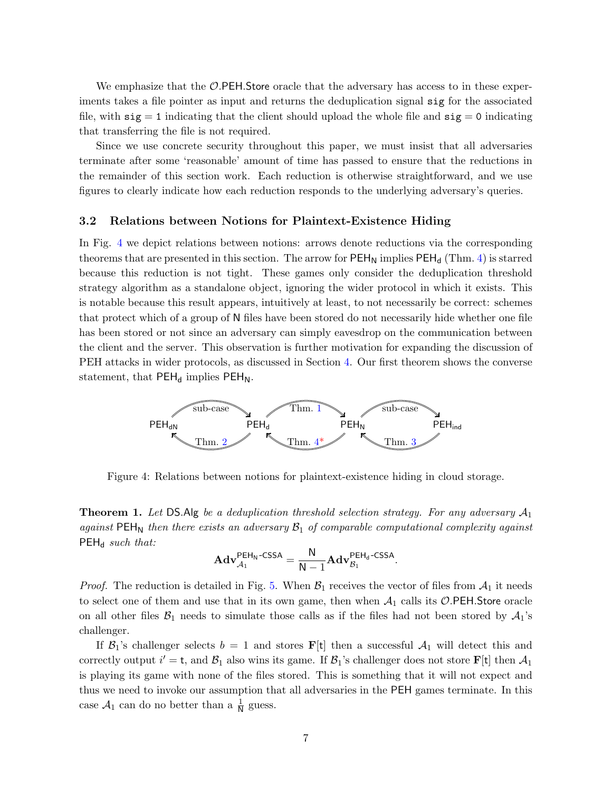We emphasize that the  $\mathcal{O}$ . PEH. Store oracle that the adversary has access to in these experiments takes a file pointer as input and returns the deduplication signal sig for the associated file, with  $sig = 1$  indicating that the client should upload the whole file and  $sig = 0$  indicating that transferring the file is not required.

Since we use concrete security throughout this paper, we must insist that all adversaries terminate after some 'reasonable' amount of time has passed to ensure that the reductions in the remainder of this section work. Each reduction is otherwise straightforward, and we use figures to clearly indicate how each reduction responds to the underlying adversary's queries.

#### 3.2 Relations between Notions for Plaintext-Existence Hiding

In Fig. [4](#page-6-0) we depict relations between notions: arrows denote reductions via the corresponding theorems that are presented in this section. The arrow for  $PEH_N$  implies  $PEH_d$  (Thm. [4\)](#page-9-0) is starred because this reduction is not tight. These games only consider the deduplication threshold strategy algorithm as a standalone object, ignoring the wider protocol in which it exists. This is notable because this result appears, intuitively at least, to not necessarily be correct: schemes that protect which of a group of N files have been stored do not necessarily hide whether one file has been stored or not since an adversary can simply eavesdrop on the communication between the client and the server. This observation is further motivation for expanding the discussion of PEH attacks in wider protocols, as discussed in Section [4.](#page-11-0) Our first theorem shows the converse statement, that  $PEH_d$  implies  $PEH_N$ .



<span id="page-6-0"></span>Figure 4: Relations between notions for plaintext-existence hiding in cloud storage.

<span id="page-6-1"></span>**Theorem 1.** Let DS.Alg be a deduplication threshold selection strategy. For any adversary  $A_1$ against  $PEH_N$  then there exists an adversary  $B_1$  of comparable computational complexity against  $PEH_d$  such that:

$$
\mathbf{Adv}_{\mathcal{A}_{1}}^{\mathsf{PEH}_{\mathsf{N}}\text{-CSSA}} = \frac{\mathsf{N}}{\mathsf{N}-1}\mathbf{Adv}_{\mathcal{B}_{1}}^{\mathsf{PEH}_{\mathsf{d}}\text{-CSSA}}
$$

.

*Proof.* The reduction is detailed in Fig. [5.](#page-7-1) When  $\mathcal{B}_1$  receives the vector of files from  $\mathcal{A}_1$  it needs to select one of them and use that in its own game, then when  $A_1$  calls its  $\mathcal{O}.\mathsf{PEH}.\mathsf{Store}$  oracle on all other files  $\mathcal{B}_1$  needs to simulate those calls as if the files had not been stored by  $\mathcal{A}_1$ 's challenger.

If  $\mathcal{B}_1$ 's challenger selects  $b = 1$  and stores **F**[t] then a successful  $\mathcal{A}_1$  will detect this and correctly output  $i' = t$ , and  $\mathcal{B}_1$  also wins its game. If  $\mathcal{B}_1$ 's challenger does not store  $\mathbf{F}[t]$  then  $\mathcal{A}_1$ is playing its game with none of the files stored. This is something that it will not expect and thus we need to invoke our assumption that all adversaries in the PEH games terminate. In this case  $\mathcal{A}_1$  can do no better than a  $\frac{1}{N}$  guess.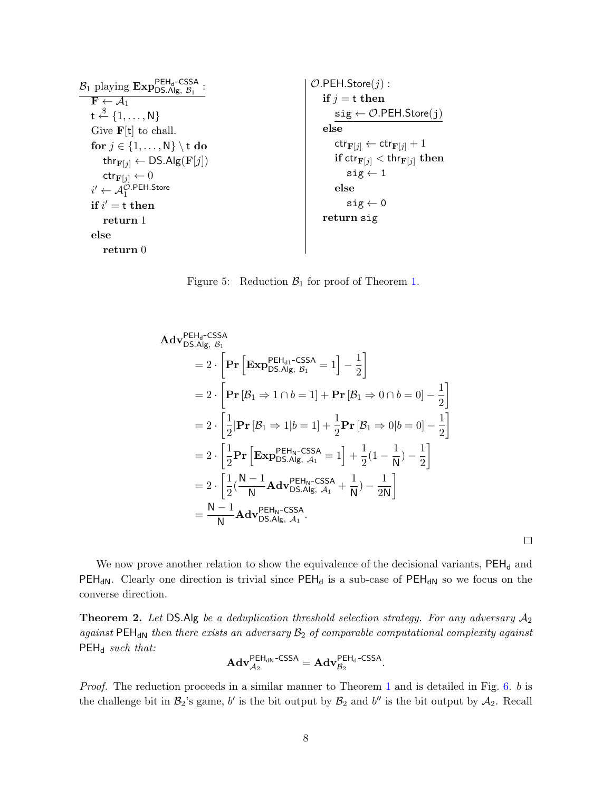| $\mathcal{B}_1$ playing $\text{Exp}_{\text{DS.Alg, }\mathcal{B}_1}^{\text{PEH}_d\text{-CSSA}}$ | $\mathcal{O}$ .PEH.Store $(j)$ :                                         |
|------------------------------------------------------------------------------------------------|--------------------------------------------------------------------------|
| $\mathbf{F} \leftarrow \mathcal{A}_1$                                                          | if $j = t$ then                                                          |
| $t \stackrel{\$}{\leftarrow} \{1, \ldots, N\}$                                                 | $sig \leftarrow \mathcal{O}$ .PEH.Store(j)                               |
| Give $F[t]$ to chall.                                                                          | else                                                                     |
| for $j \in \{1, , N\} \setminus t$ do                                                          | $\mathsf{ctr}_{\mathbf{F}[j]} \leftarrow \mathsf{ctr}_{\mathbf{F}[j]}+1$ |
| thr $_{\mathbf{F}[j]} \leftarrow \mathsf{DS}.\mathsf{Alg}(\mathbf{F}[j])$                      | if $\text{ctr}_{\mathbf{F}[j]} < \text{thr}_{\mathbf{F}[j]}$ then        |
| $\mathsf{ctr}_{\mathbf{F}[j]} \leftarrow 0$                                                    | $sig \leftarrow 1$                                                       |
| $i' \leftarrow \mathcal{A}_1^{\mathcal{O}.\mathsf{PEH}.\mathsf{Store}}$                        | else                                                                     |
| if $i' = t$ then                                                                               | $sig \leftarrow 0$                                                       |
| return 1                                                                                       | return sig                                                               |
| else                                                                                           |                                                                          |
| return 0                                                                                       |                                                                          |
|                                                                                                |                                                                          |

<span id="page-7-1"></span>Figure 5: Reduction  $\mathcal{B}_1$  for proof of Theorem [1.](#page-6-1)

$$
\begin{split}\n\mathbf{Adv}_{\text{DS},\text{Alg, B}_{1}}^{\text{PEH}_{d}\text{-CSSA}} \\
&= 2 \cdot \left[ \mathbf{Pr} \left[ \mathbf{Exp}_{\text{DS},\text{Alg, B}_{1}}^{\text{PEH}_{d1}\text{-CSSA}} = 1 \right] - \frac{1}{2} \right] \\
&= 2 \cdot \left[ \mathbf{Pr} \left[ \mathcal{B}_{1} \Rightarrow 1 \cap b = 1 \right] + \mathbf{Pr} \left[ \mathcal{B}_{1} \Rightarrow 0 \cap b = 0 \right] - \frac{1}{2} \right] \\
&= 2 \cdot \left[ \frac{1}{2} |\mathbf{Pr} \left[ \mathcal{B}_{1} \Rightarrow 1 | b = 1 \right] + \frac{1}{2} \mathbf{Pr} \left[ \mathcal{B}_{1} \Rightarrow 0 | b = 0 \right] - \frac{1}{2} \right] \\
&= 2 \cdot \left[ \frac{1}{2} \mathbf{Pr} \left[ \mathbf{Exp}_{\text{DS},\text{Alg, A}_{1}}^{\text{PEH}_{N}\text{-CSSA}} = 1 \right] + \frac{1}{2} (1 - \frac{1}{N}) - \frac{1}{2} \right] \\
&= 2 \cdot \left[ \frac{1}{2} (\frac{N - 1}{N} \mathbf{Adv}_{\text{DS},\text{Alg, A}_{1}}^{\text{PEH}_{N}\text{-CSSA}} + \frac{1}{N}) - \frac{1}{2N} \right] \\
&= \frac{N - 1}{N} \mathbf{Adv}_{\text{DS},\text{Alg, A}_{1}}^{\text{PEH}_{N}\text{-CSSA}}.\n\end{split}
$$

 $\Box$ 

We now prove another relation to show the equivalence of the decisional variants,  $PEH_d$  and  $PEH_{dN}$ . Clearly one direction is trivial since  $PEH_{d}$  is a sub-case of  $PEH_{dN}$  so we focus on the converse direction.

<span id="page-7-0"></span>**Theorem 2.** Let DS.Alg be a deduplication threshold selection strategy. For any adversary  $A_2$ against  $PEH_{dN}$  then there exists an adversary  $B_2$  of comparable computational complexity against  $PEH_d$  such that:

$$
\mathbf{Adv}_{\mathcal{A}_2}^{\mathsf{PEH}_{\mathsf{dN}}\text{-CSSA}} = \mathbf{Adv}_{\mathcal{B}_2}^{\mathsf{PEH}_{\mathsf{d}}\text{-CSSA}}.
$$

Proof. The reduction proceeds in a similar manner to Theorem [1](#page-6-1) and is detailed in Fig. [6.](#page-8-1) b is the challenge bit in  $\mathcal{B}_2$ 's game, b' is the bit output by  $\mathcal{B}_2$  and b'' is the bit output by  $\mathcal{A}_2$ . Recall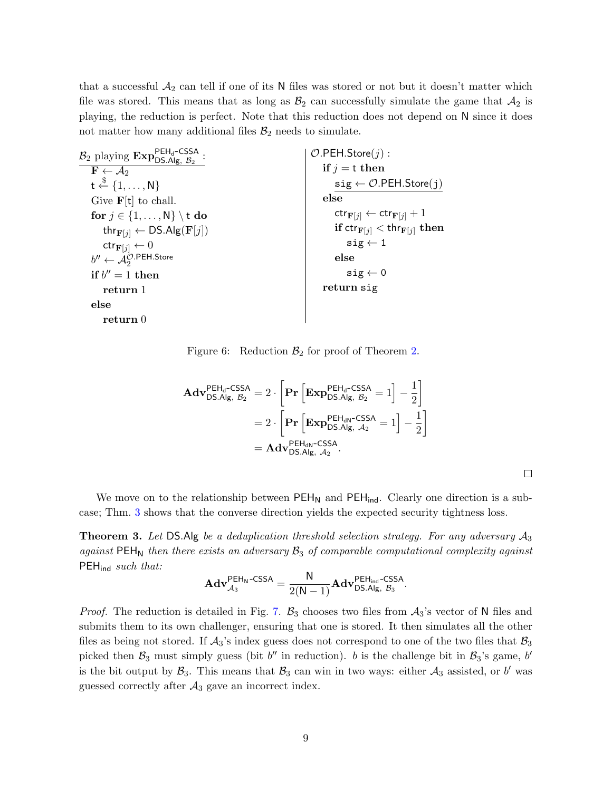that a successful  $A_2$  can tell if one of its N files was stored or not but it doesn't matter which file was stored. This means that as long as  $\mathcal{B}_2$  can successfully simulate the game that  $\mathcal{A}_2$  is playing, the reduction is perfect. Note that this reduction does not depend on N since it does not matter how many additional files  $\mathcal{B}_2$  needs to simulate.

| $B_2$ playing $\text{Exp}_{\text{DS.Alg}, S_2}^{\text{PEH}_d\text{-CSSA}}$ | $\mathcal{O}$ .PEH.Store $(j)$ :                                           |
|----------------------------------------------------------------------------|----------------------------------------------------------------------------|
| $\mathbf{F} \leftarrow \mathcal{A}_2$                                      | if $j = t$ then                                                            |
| $t \stackrel{\$}{\leftarrow} \{1, \ldots, N\}$                             | $sig \leftarrow \mathcal{O}$ .PEH.Store(j)                                 |
| Give $\mathbf{F}[\mathbf{t}]$ to chall.                                    | else                                                                       |
| for $j \in \{1, , N\} \setminus t$ do                                      | $\mathsf{ctr}_{\mathbf{F}[i]} \leftarrow \mathsf{ctr}_{\mathbf{F}[i]} + 1$ |
| thr $_{\mathbf{F}[j]} \leftarrow \mathsf{DS}.\mathsf{Alg}(\mathbf{F}[j])$  | if $\text{ctr}_{\mathbf{F}[j]} < \text{thr}_{\mathbf{F}[j]}$ then          |
| $\mathsf{ctr}_{\mathbf{F}[i]}\leftarrow 0$                                 | $sig \leftarrow 1$                                                         |
| $b'' \leftarrow \mathcal{A}_2^{\mathcal{O}.\mathsf{PEH}.\mathsf{Store}}$   | else                                                                       |
| if $b'' = 1$ then                                                          | $sig \leftarrow 0$                                                         |
| return 1                                                                   | return sig                                                                 |
| else                                                                       |                                                                            |
| return <sub>0</sub>                                                        |                                                                            |

<span id="page-8-1"></span>Figure 6: Reduction  $\mathcal{B}_2$  for proof of Theorem [2.](#page-7-0)

$$
\mathbf{Adv}_{\mathsf{DS}.\mathsf{Alg},\mathcal{B}_2}^{\mathsf{PEH}_\mathsf{d}\text{-CSSA}} = 2 \cdot \left[ \mathbf{Pr} \left[ \mathbf{Exp}_{\mathsf{DS}.\mathsf{Alg},\mathcal{B}_2}^{\mathsf{PEH}_\mathsf{d}\text{-CSSA}} = 1 \right] - \frac{1}{2} \right]
$$

$$
= 2 \cdot \left[ \mathbf{Pr} \left[ \mathbf{Exp}_{\mathsf{DS}.\mathsf{Alg},\mathcal{A}_2}^{\mathsf{PEH}_\mathsf{dN}\text{-CSSA}} = 1 \right] - \frac{1}{2} \right]
$$

$$
= \mathbf{Adv}_{\mathsf{DS}.\mathsf{Alg},\mathcal{A}_2}^{\mathsf{PEH}_\mathsf{dN}\text{-CSSA}}.
$$

We move on to the relationship between  $PEH_N$  and  $PEH_{ind}$ . Clearly one direction is a subcase; Thm. [3](#page-8-0) shows that the converse direction yields the expected security tightness loss.

<span id="page-8-0"></span>**Theorem 3.** Let DS.Alg be a deduplication threshold selection strategy. For any adversary  $A_3$ against  $PEH_N$  then there exists an adversary  $B_3$  of comparable computational complexity against  $PEH<sub>ind</sub> such that:$ 

$$
\mathbf{Adv}_{\mathcal{A}_3}^{\mathsf{PEH}_\mathsf{N}\text{-CSSA}} = \frac{\mathsf{N}}{2(\mathsf{N}-1)}\mathbf{Adv}_{\mathsf{DS}.\mathsf{Alg},\ \mathcal{B}_3}^{\mathsf{PEH}_{\mathsf{ind}}\text{-CSSA}}.
$$

*Proof.* The reduction is detailed in Fig. [7.](#page-9-1)  $\mathcal{B}_3$  chooses two files from  $\mathcal{A}_3$ 's vector of N files and submits them to its own challenger, ensuring that one is stored. It then simulates all the other files as being not stored. If  $A_3$ 's index guess does not correspond to one of the two files that  $B_3$ picked then  $\mathcal{B}_3$  must simply guess (bit b'' in reduction). b is the challenge bit in  $\mathcal{B}_3$ 's game, b' is the bit output by  $\mathcal{B}_3$ . This means that  $\mathcal{B}_3$  can win in two ways: either  $\mathcal{A}_3$  assisted, or b' was guessed correctly after  $A_3$  gave an incorrect index.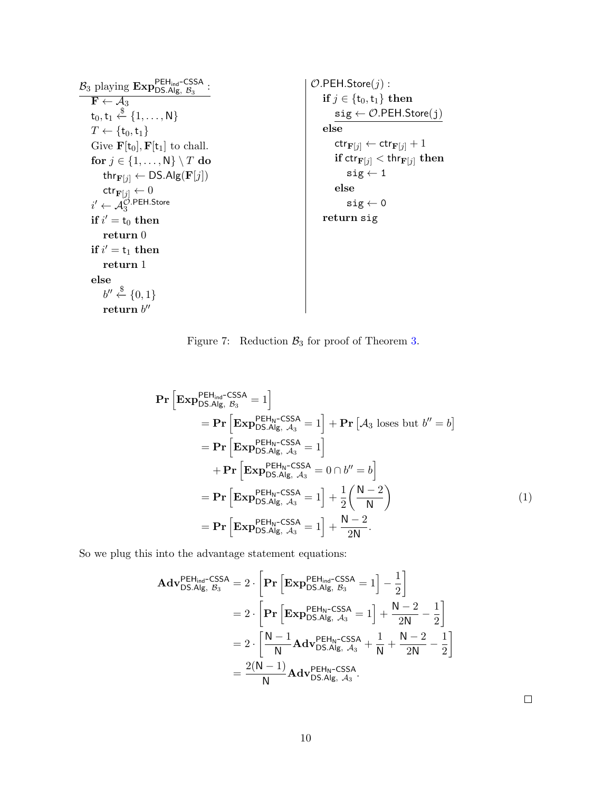$\mathcal{B}_3$  playing  $\text{Exp}_{\text{DS.Alg}, \mathcal{B}_3}^{\text{PEH}_{\text{ind}}\text{-CSSA}}$ :  $\mathbf{F} \leftarrow \mathcal{A}_3$  $\mathsf{t}_0, \mathsf{t}_1 \overset{\$}{\leftarrow} \{1, \ldots, \mathsf{N}\}$  $T \leftarrow {\mathfrak{t}}_0, {\mathfrak{t}}_1$ Give  $\mathbf{F}[\mathbf{t}_0], \mathbf{F}[\mathbf{t}_1]$  to chall. for  $j \in \{1, \ldots, N\} \setminus T$  do thr $_{\mathbf{F}[j]} \leftarrow \mathsf{DS}.\mathsf{Alg}(\mathbf{F}[j])$  $\mathsf{ctr}_{\mathbf{F}[j]} \leftarrow 0$  $i' \leftarrow \mathcal{A}^{\mathcal{O}.\mathsf{PEH}.\mathsf{Store}}_3$  $\mathbf{if} \ i' = \mathbf{t}_0 \ \mathbf{then}$  ${\bf return}$   $0$ if  $i' = t_1$  then return 1 else  $b^{\prime\prime} \stackrel{\$}{\leftarrow} \{0,1\}$  $\mathbf{return}\;b^{\prime\prime}$  $O.PEH.S$ tore $(j)$  : if  $j \in \{t_0, t_1\}$  then  $sig \leftarrow \mathcal{O}$ .PEH.Store $(j)$ else  $\mathsf{ctr}_{\mathbf{F}[j]} \leftarrow \mathsf{ctr}_{\mathbf{F}[j]} + 1$ if  $\operatorname{\sf dtr}_{{\bf F}[j]} < \operatorname{\sf thr}_{{\bf F}[j]}$  then  $\texttt{sig} \leftarrow 1$ else  $sig \leftarrow 0$ return sig

<span id="page-9-1"></span>Figure 7: Reduction  $\mathcal{B}_3$  for proof of Theorem [3.](#page-8-0)

$$
\begin{split}\n\mathbf{Pr}\left[\mathbf{Exp}_{\mathsf{DS}.\mathsf{Alg},\mathcal{B}_{3}}^{\mathsf{PEH}_{\mathsf{ind}}\mathsf{-CSSA}}=1\right] \\
&= \mathbf{Pr}\left[\mathbf{Exp}_{\mathsf{DS}.\mathsf{Alg},\mathcal{A}_{3}}^{\mathsf{PEH}_{\mathsf{N}}\mathsf{-CSSA}}=1\right]+\mathbf{Pr}\left[\mathcal{A}_{3}\text{ loses but }b''=b\right] \\
&= \mathbf{Pr}\left[\mathbf{Exp}_{\mathsf{DS}.\mathsf{Alg},\mathcal{A}_{3}}^{\mathsf{PEH}_{\mathsf{N}}\mathsf{-CSSA}}=1\right] \\
&\quad + \mathbf{Pr}\left[\mathbf{Exp}_{\mathsf{DS}.\mathsf{Alg},\mathcal{A}_{3}}^{\mathsf{PEH}_{\mathsf{N}}\mathsf{-CSSA}}=0\cap b''=b\right] \\
&= \mathbf{Pr}\left[\mathbf{Exp}_{\mathsf{DS}.\mathsf{Alg},\mathcal{A}_{3}}^{\mathsf{PEH}_{\mathsf{N}}\mathsf{-CSSA}}=1\right]+\frac{1}{2}\left(\frac{\mathsf{N}-2}{\mathsf{N}}\right) \\
&= \mathbf{Pr}\left[\mathbf{Exp}_{\mathsf{DS}.\mathsf{Alg},\mathcal{A}_{3}}^{\mathsf{PEH}_{\mathsf{N}}\mathsf{-CSSA}}=1\right]+\frac{\mathsf{N}-2}{2\mathsf{N}}.\n\end{split} \tag{1}
$$

So we plug this into the advantage statement equations:

<span id="page-9-0"></span>
$$
\begin{aligned}\n\mathbf{Adv}_{\text{DS},\text{Alg},\mathcal{B}_{3}}^{\text{PEH}_{\text{ind}}-\text{CSSA}} &= 2 \cdot \left[ \mathbf{Pr} \left[ \mathbf{Exp}_{\text{DS},\text{Alg},\mathcal{B}_{3}}^{\text{PEH}_{\text{ind}}-\text{CSSA}} = 1 \right] - \frac{1}{2} \right] \\
&= 2 \cdot \left[ \mathbf{Pr} \left[ \mathbf{Exp}_{\text{DS},\text{Alg},\mathcal{A}_{3}}^{\text{PEH}_{\text{N}}-\text{CSSA}} = 1 \right] + \frac{N-2}{2N} - \frac{1}{2} \right] \\
&= 2 \cdot \left[ \frac{N-1}{N} \mathbf{Adv}_{\text{DS},\text{Alg},\mathcal{A}_{3}}^{\text{PEH}_{\text{N}}-\text{CSSA}} + \frac{1}{N} + \frac{N-2}{2N} - \frac{1}{2} \right] \\
&= \frac{2(N-1)}{N} \mathbf{Adv}_{\text{DS},\text{Alg},\mathcal{A}_{3}}^{\text{PEH}_{\text{N}}-\text{CSSA}}.\n\end{aligned}
$$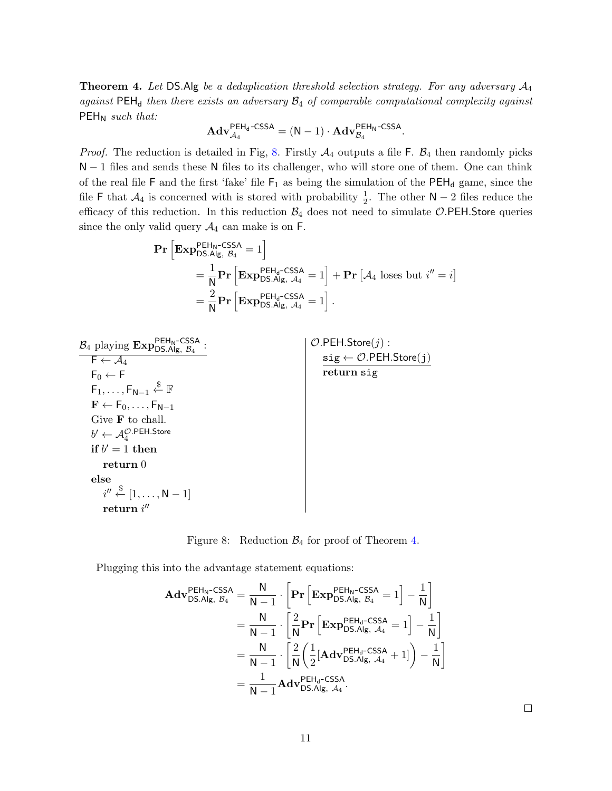**Theorem 4.** Let DS.Alg be a deduplication threshold selection strategy. For any adversary  $A_4$ against  $PEH_d$  then there exists an adversary  $B_4$  of comparable computational complexity against  $PEH_N$  such that:

$$
\mathbf{Adv}_{\mathcal{A}_4}^{\mathsf{PEH}_d\text{-CSSA}} = (\mathsf{N}-1)\cdot \mathbf{Adv}_{\mathcal{B}_4}^{\mathsf{PEH}_\mathsf{N}\text{-CSSA}}.
$$

*Proof.* The reduction is detailed in Fig, [8.](#page-10-0) Firstly  $A_4$  outputs a file F.  $B_4$  then randomly picks N − 1 files and sends these N files to its challenger, who will store one of them. One can think of the real file F and the first 'fake' file  $F_1$  as being the simulation of the  $PEH_d$  game, since the file F that  $\mathcal{A}_4$  is concerned with is stored with probability  $\frac{1}{2}$ . The other N – 2 files reduce the efficacy of this reduction. In this reduction  $\mathcal{B}_4$  does not need to simulate O.PEH.Store queries since the only valid query  $\mathcal{A}_4$  can make is on F.

$$
\begin{split} \mathbf{Pr}\left[\mathbf{Exp}_{\text{DS.Alg, B4}}^{\text{PEH}_{\text{N}}\text{-CSSA}}=1\right] \\ & = \frac{1}{\mathsf{N}}\mathbf{Pr}\left[\mathbf{Exp}_{\text{DS.Alg, A4}}^{\text{PEH}_{\text{d}}\text{-CSSA}}=1\right]+\mathbf{Pr}\left[\mathcal{A}_4 \text{ loses but } i''=i\right] \\ & = \frac{2}{\mathsf{N}}\mathbf{Pr}\left[\mathbf{Exp}_{\text{DS.Alg, A4}}^{\text{PEH}_{\text{d}}\text{-CSSA}}=1\right]. \end{split}
$$

| $\mathcal{B}_4$ playing $\text{Exp}_{\text{DS}.\text{Alg},\ \mathcal{B}_4}^{\text{PEH}_\text{N}\text{-CSSA}}$ | $\mathcal{O}$ .PEH.Store $(j)$ :                            |
|---------------------------------------------------------------------------------------------------------------|-------------------------------------------------------------|
| $\mathsf{F} \leftarrow \mathcal{A}_4$                                                                         | $sig \leftarrow \mathcal{O}.\mathsf{PEH}.\mathsf{Store}(j)$ |
| $F_0 \leftarrow F$                                                                                            | return sig                                                  |
| $F_1, \ldots, F_{N-1} \overset{\$}{\leftarrow} \mathbb{F}$                                                    |                                                             |
| $\mathbf{F} \leftarrow \mathsf{F}_0, \ldots, \mathsf{F}_{N-1}$                                                |                                                             |
| Give $\bf{F}$ to chall.                                                                                       |                                                             |
| $b' \leftarrow \mathcal{A}_4^{\mathcal{O}.\mathsf{PEH}.\mathsf{Store}}$                                       |                                                             |
| if $b' = 1$ then                                                                                              |                                                             |
| return 0                                                                                                      |                                                             |
| else                                                                                                          |                                                             |
| $i'' \stackrel{\$}{\leftarrow} [1, \ldots, N-1]$                                                              |                                                             |
| return $i''$                                                                                                  |                                                             |

<span id="page-10-0"></span>Figure 8: Reduction  $\mathcal{B}_4$  for proof of Theorem [4.](#page-9-0)

Plugging this into the advantage statement equations:

$$
\mathbf{Adv}_{\mathsf{DS}.\mathsf{Alg},\mathcal{B}_4}^{\mathsf{PEH}_{\mathsf{N}}\text{-CSSA}} = \frac{\mathsf{N}}{\mathsf{N}-1} \cdot \left[ \mathbf{Pr} \left[ \mathbf{Exp}_{\mathsf{DS}.\mathsf{Alg},\mathcal{B}_4}^{\mathsf{PEH}_{\mathsf{N}}\text{-CSSA}} = 1 \right] - \frac{1}{\mathsf{N}} \right] \n= \frac{\mathsf{N}}{\mathsf{N}-1} \cdot \left[ \frac{2}{\mathsf{N}} \mathbf{Pr} \left[ \mathbf{Exp}_{\mathsf{DS}.\mathsf{Alg},\mathcal{A}_4}^{\mathsf{PEH}_d\text{-CSSA}} = 1 \right] - \frac{1}{\mathsf{N}} \right] \n= \frac{\mathsf{N}}{\mathsf{N}-1} \cdot \left[ \frac{2}{\mathsf{N}} \left( \frac{1}{2} [\mathbf{Adv}_{\mathsf{DS}.\mathsf{Alg},\mathcal{A}_4}^{\mathsf{PEH}_d\text{-CSSA}} + 1] \right) - \frac{1}{\mathsf{N}} \right] \n= \frac{1}{\mathsf{N}-1} \mathbf{Adv}_{\mathsf{DS}.\mathsf{Alg},\mathcal{A}_4}^{\mathsf{PEH}_d\text{-CSSA}}.
$$

 $\Box$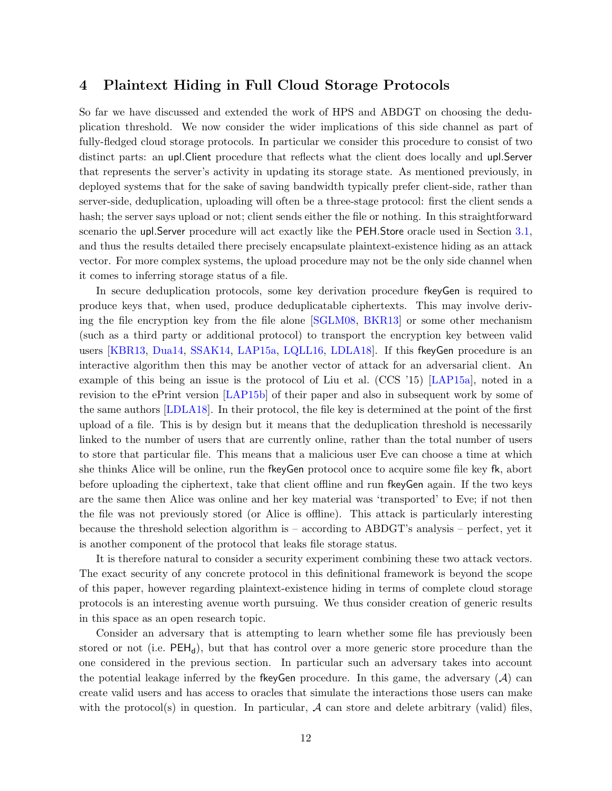### <span id="page-11-1"></span><span id="page-11-0"></span>4 Plaintext Hiding in Full Cloud Storage Protocols

So far we have discussed and extended the work of HPS and ABDGT on choosing the deduplication threshold. We now consider the wider implications of this side channel as part of fully-fledged cloud storage protocols. In particular we consider this procedure to consist of two distinct parts: an upl.Client procedure that reflects what the client does locally and upl.Server that represents the server's activity in updating its storage state. As mentioned previously, in deployed systems that for the sake of saving bandwidth typically prefer client-side, rather than server-side, deduplication, uploading will often be a three-stage protocol: first the client sends a hash; the server says upload or not; client sends either the file or nothing. In this straightforward scenario the upl.Server procedure will act exactly like the PEH.Store oracle used in Section [3.1,](#page-4-0) and thus the results detailed there precisely encapsulate plaintext-existence hiding as an attack vector. For more complex systems, the upload procedure may not be the only side channel when it comes to inferring storage status of a file.

In secure deduplication protocols, some key derivation procedure fkeyGen is required to produce keys that, when used, produce deduplicatable ciphertexts. This may involve deriving the file encryption key from the file alone [\[SGLM08,](#page-14-2) [BKR13\]](#page-12-0) or some other mechanism (such as a third party or additional protocol) to transport the encryption key between valid users [\[KBR13,](#page-13-0) [Dua14,](#page-13-4) [SSAK14,](#page-14-1) [LAP15a,](#page-13-1) [LQLL16,](#page-13-3) [LDLA18\]](#page-13-2). If this fkeyGen procedure is an interactive algorithm then this may be another vector of attack for an adversarial client. An example of this being an issue is the protocol of Liu et al. (CCS '15) [\[LAP15a\]](#page-13-1), noted in a revision to the ePrint version [\[LAP15b\]](#page-13-8) of their paper and also in subsequent work by some of the same authors [\[LDLA18\]](#page-13-2). In their protocol, the file key is determined at the point of the first upload of a file. This is by design but it means that the deduplication threshold is necessarily linked to the number of users that are currently online, rather than the total number of users to store that particular file. This means that a malicious user Eve can choose a time at which she thinks Alice will be online, run the fkeyGen protocol once to acquire some file key fk, abort before uploading the ciphertext, take that client offline and run fkeyGen again. If the two keys are the same then Alice was online and her key material was 'transported' to Eve; if not then the file was not previously stored (or Alice is offline). This attack is particularly interesting because the threshold selection algorithm is – according to ABDGT's analysis – perfect, yet it is another component of the protocol that leaks file storage status.

It is therefore natural to consider a security experiment combining these two attack vectors. The exact security of any concrete protocol in this definitional framework is beyond the scope of this paper, however regarding plaintext-existence hiding in terms of complete cloud storage protocols is an interesting avenue worth pursuing. We thus consider creation of generic results in this space as an open research topic.

Consider an adversary that is attempting to learn whether some file has previously been stored or not (i.e.  $PEH_d$ ), but that has control over a more generic store procedure than the one considered in the previous section. In particular such an adversary takes into account the potential leakage inferred by the flee given procedure. In this game, the adversary  $(A)$  can create valid users and has access to oracles that simulate the interactions those users can make with the protocol(s) in question. In particular,  $A$  can store and delete arbitrary (valid) files,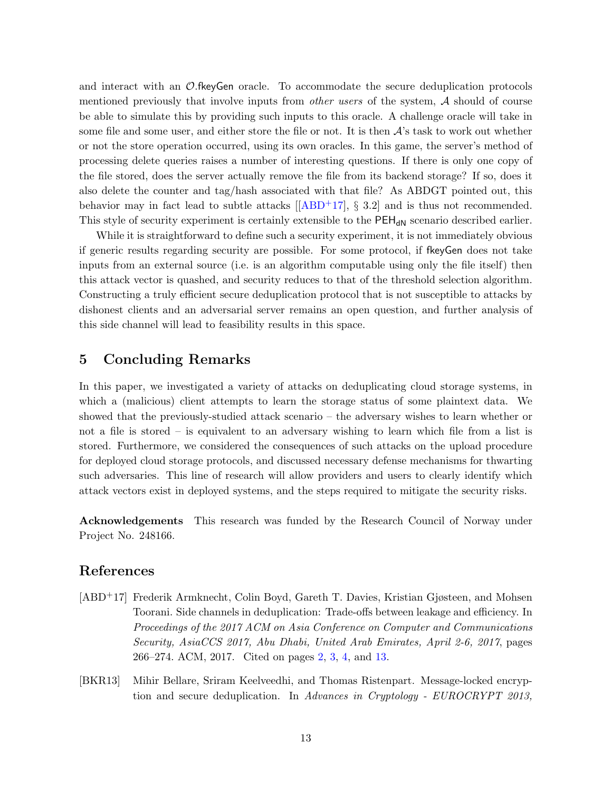<span id="page-12-2"></span>and interact with an  $\mathcal{O}$ . fkeyGen oracle. To accommodate the secure deduplication protocols mentioned previously that involve inputs from *other users* of the system,  $A$  should of course be able to simulate this by providing such inputs to this oracle. A challenge oracle will take in some file and some user, and either store the file or not. It is then  $A$ 's task to work out whether or not the store operation occurred, using its own oracles. In this game, the server's method of processing delete queries raises a number of interesting questions. If there is only one copy of the file stored, does the server actually remove the file from its backend storage? If so, does it also delete the counter and tag/hash associated with that file? As ABDGT pointed out, this behavior may in fact lead to subtle attacks  $[[ABD<sup>+</sup>17], § 3.2]$  $[[ABD<sup>+</sup>17], § 3.2]$  $[[ABD<sup>+</sup>17], § 3.2]$  and is thus not recommended. This style of security experiment is certainly extensible to the  $PEH_{dN}$  scenario described earlier.

While it is straightforward to define such a security experiment, it is not immediately obvious if generic results regarding security are possible. For some protocol, if fkeyGen does not take inputs from an external source (i.e. is an algorithm computable using only the file itself) then this attack vector is quashed, and security reduces to that of the threshold selection algorithm. Constructing a truly efficient secure deduplication protocol that is not susceptible to attacks by dishonest clients and an adversarial server remains an open question, and further analysis of this side channel will lead to feasibility results in this space.

# 5 Concluding Remarks

In this paper, we investigated a variety of attacks on deduplicating cloud storage systems, in which a (malicious) client attempts to learn the storage status of some plaintext data. We showed that the previously-studied attack scenario – the adversary wishes to learn whether or not a file is stored – is equivalent to an adversary wishing to learn which file from a list is stored. Furthermore, we considered the consequences of such attacks on the upload procedure for deployed cloud storage protocols, and discussed necessary defense mechanisms for thwarting such adversaries. This line of research will allow providers and users to clearly identify which attack vectors exist in deployed systems, and the steps required to mitigate the security risks.

Acknowledgements This research was funded by the Research Council of Norway under Project No. 248166.

## References

- <span id="page-12-1"></span>[ABD+17] Frederik Armknecht, Colin Boyd, Gareth T. Davies, Kristian Gjøsteen, and Mohsen Toorani. Side channels in deduplication: Trade-offs between leakage and efficiency. In Proceedings of the 2017 ACM on Asia Conference on Computer and Communications Security, AsiaCCS 2017, Abu Dhabi, United Arab Emirates, April 2-6, 2017, pages 266–274. ACM, 2017. Cited on pages [2,](#page-1-1) [3,](#page-2-0) [4,](#page-3-0) and [13.](#page-12-2)
- <span id="page-12-0"></span>[BKR13] Mihir Bellare, Sriram Keelveedhi, and Thomas Ristenpart. Message-locked encryption and secure deduplication. In Advances in Cryptology - EUROCRYPT 2013,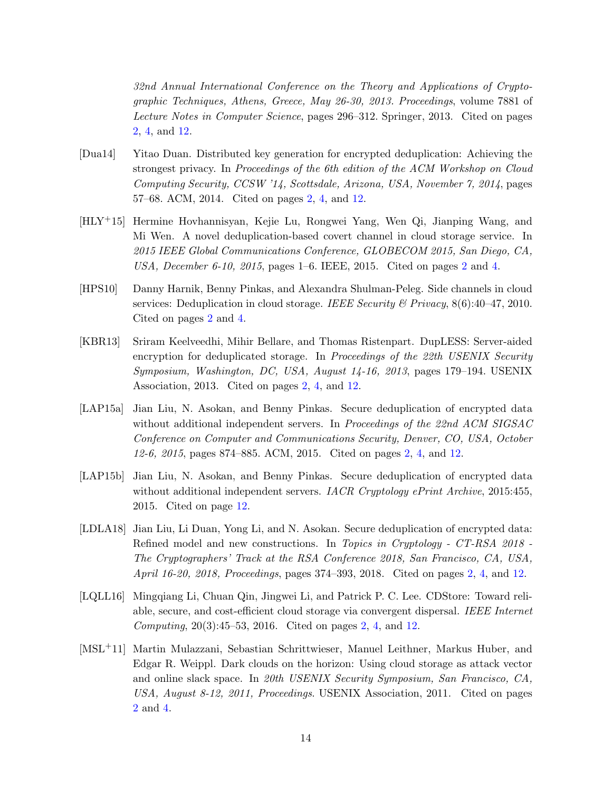32nd Annual International Conference on the Theory and Applications of Cryptographic Techniques, Athens, Greece, May 26-30, 2013. Proceedings, volume 7881 of Lecture Notes in Computer Science, pages 296–312. Springer, 2013. Cited on pages [2,](#page-1-1) [4,](#page-3-0) and [12.](#page-11-1)

- <span id="page-13-4"></span>[Dua14] Yitao Duan. Distributed key generation for encrypted deduplication: Achieving the strongest privacy. In Proceedings of the 6th edition of the ACM Workshop on Cloud Computing Security, CCSW '14, Scottsdale, Arizona, USA, November 7, 2014, pages 57–68. ACM, 2014. Cited on pages [2,](#page-1-1) [4,](#page-3-0) and [12.](#page-11-1)
- <span id="page-13-7"></span>[HLY+15] Hermine Hovhannisyan, Kejie Lu, Rongwei Yang, Wen Qi, Jianping Wang, and Mi Wen. A novel deduplication-based covert channel in cloud storage service. In 2015 IEEE Global Communications Conference, GLOBECOM 2015, San Diego, CA, USA, December 6-10, 2015, pages 1–6. IEEE, 2015. Cited on pages [2](#page-1-1) and [4.](#page-3-0)
- <span id="page-13-5"></span>[HPS10] Danny Harnik, Benny Pinkas, and Alexandra Shulman-Peleg. Side channels in cloud services: Deduplication in cloud storage. IEEE Security & Privacy,  $8(6):40-47$ , 2010. Cited on pages [2](#page-1-1) and [4.](#page-3-0)
- <span id="page-13-0"></span>[KBR13] Sriram Keelveedhi, Mihir Bellare, and Thomas Ristenpart. DupLESS: Server-aided encryption for deduplicated storage. In Proceedings of the 22th USENIX Security Symposium, Washington, DC, USA, August 14-16, 2013, pages 179–194. USENIX Association, 2013. Cited on pages [2,](#page-1-1) [4,](#page-3-0) and [12.](#page-11-1)
- <span id="page-13-1"></span>[LAP15a] Jian Liu, N. Asokan, and Benny Pinkas. Secure deduplication of encrypted data without additional independent servers. In Proceedings of the 22nd ACM SIGSAC Conference on Computer and Communications Security, Denver, CO, USA, October 12-6, 2015, pages 874–885. ACM, 2015. Cited on pages [2,](#page-1-1) [4,](#page-3-0) and [12.](#page-11-1)
- <span id="page-13-8"></span>[LAP15b] Jian Liu, N. Asokan, and Benny Pinkas. Secure deduplication of encrypted data without additional independent servers. IACR Cryptology ePrint Archive, 2015:455, 2015. Cited on page [12.](#page-11-1)
- <span id="page-13-2"></span>[LDLA18] Jian Liu, Li Duan, Yong Li, and N. Asokan. Secure deduplication of encrypted data: Refined model and new constructions. In Topics in Cryptology - CT-RSA 2018 -The Cryptographers' Track at the RSA Conference 2018, San Francisco, CA, USA, April 16-20, 2018, Proceedings, pages 374–393, 2018. Cited on pages [2,](#page-1-1) [4,](#page-3-0) and [12.](#page-11-1)
- <span id="page-13-3"></span>[LQLL16] Mingqiang Li, Chuan Qin, Jingwei Li, and Patrick P. C. Lee. CDStore: Toward reliable, secure, and cost-efficient cloud storage via convergent dispersal. IEEE Internet Computing, 20(3):45–53, 2016. Cited on pages [2,](#page-1-1) [4,](#page-3-0) and [12.](#page-11-1)
- <span id="page-13-6"></span>[MSL+11] Martin Mulazzani, Sebastian Schrittwieser, Manuel Leithner, Markus Huber, and Edgar R. Weippl. Dark clouds on the horizon: Using cloud storage as attack vector and online slack space. In 20th USENIX Security Symposium, San Francisco, CA, USA, August 8-12, 2011, Proceedings. USENIX Association, 2011. Cited on pages [2](#page-1-1) and [4.](#page-3-0)